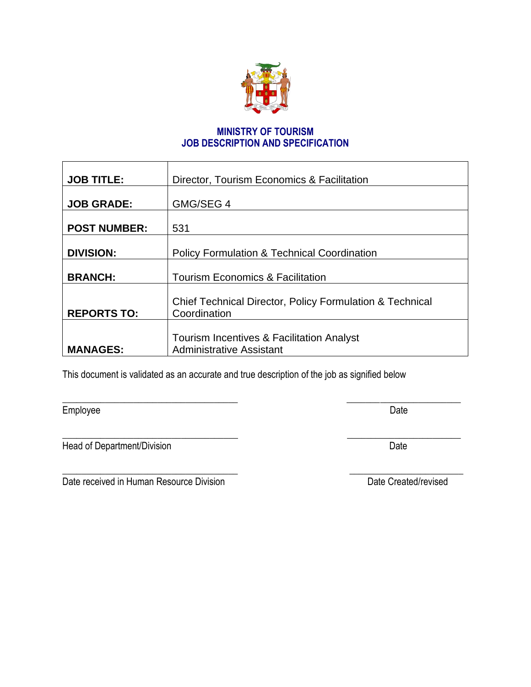

# **MINISTRY OF TOURISM JOB DESCRIPTION AND SPECIFICATION**

| <b>JOB TITLE:</b>   | Director, Tourism Economics & Facilitation                                   |  |
|---------------------|------------------------------------------------------------------------------|--|
| <b>JOB GRADE:</b>   | GMG/SEG 4                                                                    |  |
| <b>POST NUMBER:</b> | 531                                                                          |  |
| <b>DIVISION:</b>    | <b>Policy Formulation &amp; Technical Coordination</b>                       |  |
| <b>BRANCH:</b>      | <b>Tourism Economics &amp; Facilitation</b>                                  |  |
| <b>REPORTS TO:</b>  | Chief Technical Director, Policy Formulation & Technical<br>Coordination     |  |
| <b>MANAGES:</b>     | Tourism Incentives & Facilitation Analyst<br><b>Administrative Assistant</b> |  |

 $\overline{\phantom{a}}$  , and the contract of the contract of the contract of the contract of the contract of the contract of the contract of the contract of the contract of the contract of the contract of the contract of the contrac

 $\overline{\phantom{a}}$  , and the contract of the contract of the contract of the contract of the contract of the contract of the contract of the contract of the contract of the contract of the contract of the contract of the contrac

This document is validated as an accurate and true description of the job as signified below

Employee Date

Head of Department/Division Date

Date received in Human Resource Division Date Created/revised

T

\_\_\_\_\_\_\_\_\_\_\_\_\_\_\_\_\_\_\_\_\_\_\_\_\_\_\_\_\_\_\_\_\_\_\_\_\_ \_\_\_\_\_\_\_\_\_\_\_\_\_\_\_\_\_\_\_\_\_\_\_\_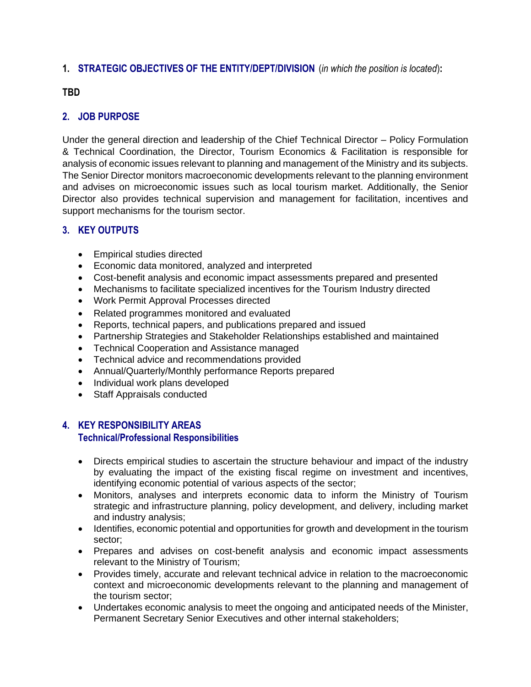# **1. STRATEGIC OBJECTIVES OF THE ENTITY/DEPT/DIVISION** (*in which the position is located*)**:**

## **TBD**

# **2. JOB PURPOSE**

Under the general direction and leadership of the Chief Technical Director – Policy Formulation & Technical Coordination, the Director, Tourism Economics & Facilitation is responsible for analysis of economic issues relevant to planning and management of the Ministry and its subjects. The Senior Director monitors macroeconomic developments relevant to the planning environment and advises on microeconomic issues such as local tourism market. Additionally, the Senior Director also provides technical supervision and management for facilitation, incentives and support mechanisms for the tourism sector.

# **3. KEY OUTPUTS**

- Empirical studies directed
- Economic data monitored, analyzed and interpreted
- Cost-benefit analysis and economic impact assessments prepared and presented
- Mechanisms to facilitate specialized incentives for the Tourism Industry directed
- Work Permit Approval Processes directed
- Related programmes monitored and evaluated
- Reports, technical papers, and publications prepared and issued
- Partnership Strategies and Stakeholder Relationships established and maintained
- Technical Cooperation and Assistance managed
- Technical advice and recommendations provided
- Annual/Quarterly/Monthly performance Reports prepared
- Individual work plans developed
- Staff Appraisals conducted

# **4. KEY RESPONSIBILITY AREAS**

#### **Technical/Professional Responsibilities**

- Directs empirical studies to ascertain the structure behaviour and impact of the industry by evaluating the impact of the existing fiscal regime on investment and incentives, identifying economic potential of various aspects of the sector;
- Monitors, analyses and interprets economic data to inform the Ministry of Tourism strategic and infrastructure planning, policy development, and delivery, including market and industry analysis;
- Identifies, economic potential and opportunities for growth and development in the tourism sector;
- Prepares and advises on cost-benefit analysis and economic impact assessments relevant to the Ministry of Tourism;
- Provides timely, accurate and relevant technical advice in relation to the macroeconomic context and microeconomic developments relevant to the planning and management of the tourism sector;
- Undertakes economic analysis to meet the ongoing and anticipated needs of the Minister, Permanent Secretary Senior Executives and other internal stakeholders;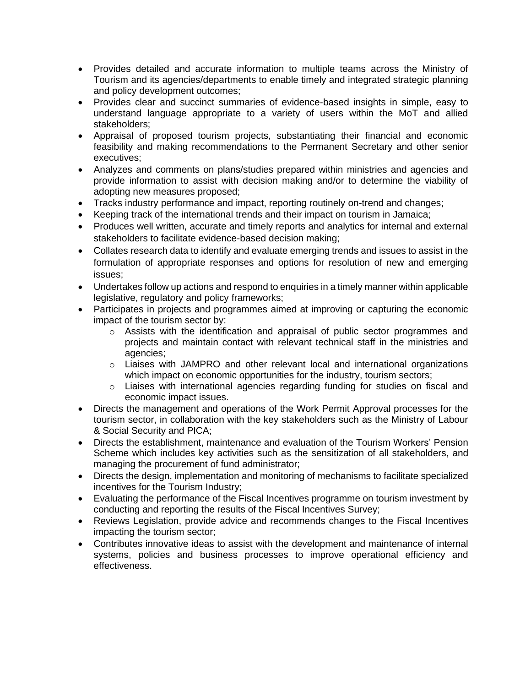- Provides detailed and accurate information to multiple teams across the Ministry of Tourism and its agencies/departments to enable timely and integrated strategic planning and policy development outcomes;
- Provides clear and succinct summaries of evidence-based insights in simple, easy to understand language appropriate to a variety of users within the MoT and allied stakeholders;
- Appraisal of proposed tourism projects, substantiating their financial and economic feasibility and making recommendations to the Permanent Secretary and other senior executives;
- Analyzes and comments on plans/studies prepared within ministries and agencies and provide information to assist with decision making and/or to determine the viability of adopting new measures proposed;
- Tracks industry performance and impact, reporting routinely on-trend and changes;
- Keeping track of the international trends and their impact on tourism in Jamaica;
- Produces well written, accurate and timely reports and analytics for internal and external stakeholders to facilitate evidence-based decision making;
- Collates research data to identify and evaluate emerging trends and issues to assist in the formulation of appropriate responses and options for resolution of new and emerging issues;
- Undertakes follow up actions and respond to enquiries in a timely manner within applicable legislative, regulatory and policy frameworks;
- Participates in projects and programmes aimed at improving or capturing the economic impact of the tourism sector by:
	- o Assists with the identification and appraisal of public sector programmes and projects and maintain contact with relevant technical staff in the ministries and agencies;
	- $\circ$  Liaises with JAMPRO and other relevant local and international organizations which impact on economic opportunities for the industry, tourism sectors;
	- o Liaises with international agencies regarding funding for studies on fiscal and economic impact issues.
- Directs the management and operations of the Work Permit Approval processes for the tourism sector, in collaboration with the key stakeholders such as the Ministry of Labour & Social Security and PICA;
- Directs the establishment, maintenance and evaluation of the Tourism Workers' Pension Scheme which includes key activities such as the sensitization of all stakeholders, and managing the procurement of fund administrator;
- Directs the design, implementation and monitoring of mechanisms to facilitate specialized incentives for the Tourism Industry;
- Evaluating the performance of the Fiscal Incentives programme on tourism investment by conducting and reporting the results of the Fiscal Incentives Survey;
- Reviews Legislation, provide advice and recommends changes to the Fiscal Incentives impacting the tourism sector;
- Contributes innovative ideas to assist with the development and maintenance of internal systems, policies and business processes to improve operational efficiency and effectiveness.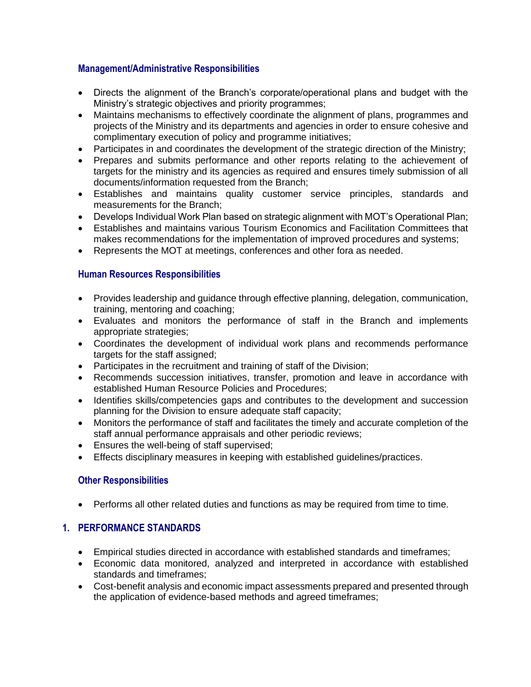## **Management/Administrative Responsibilities**

- Directs the alignment of the Branch's corporate/operational plans and budget with the Ministry's strategic objectives and priority programmes;
- Maintains mechanisms to effectively coordinate the alignment of plans, programmes and projects of the Ministry and its departments and agencies in order to ensure cohesive and complimentary execution of policy and programme initiatives;
- Participates in and coordinates the development of the strategic direction of the Ministry:
- Prepares and submits performance and other reports relating to the achievement of targets for the ministry and its agencies as required and ensures timely submission of all documents/information requested from the Branch;
- Establishes and maintains quality customer service principles, standards and measurements for the Branch;
- Develops Individual Work Plan based on strategic alignment with MOT's Operational Plan;
- Establishes and maintains various Tourism Economics and Facilitation Committees that makes recommendations for the implementation of improved procedures and systems;
- Represents the MOT at meetings, conferences and other fora as needed.

#### **Human Resources Responsibilities**

- Provides leadership and guidance through effective planning, delegation, communication, training, mentoring and coaching;
- Evaluates and monitors the performance of staff in the Branch and implements appropriate strategies;
- Coordinates the development of individual work plans and recommends performance targets for the staff assigned;
- Participates in the recruitment and training of staff of the Division;
- Recommends succession initiatives, transfer, promotion and leave in accordance with established Human Resource Policies and Procedures;
- Identifies skills/competencies gaps and contributes to the development and succession planning for the Division to ensure adequate staff capacity;
- Monitors the performance of staff and facilitates the timely and accurate completion of the staff annual performance appraisals and other periodic reviews;
- Ensures the well-being of staff supervised;
- Effects disciplinary measures in keeping with established guidelines/practices.

#### **Other Responsibilities**

• Performs all other related duties and functions as may be required from time to time.

#### **1. PERFORMANCE STANDARDS**

- Empirical studies directed in accordance with established standards and timeframes;
- Economic data monitored, analyzed and interpreted in accordance with established standards and timeframes;
- Cost-benefit analysis and economic impact assessments prepared and presented through the application of evidence-based methods and agreed timeframes;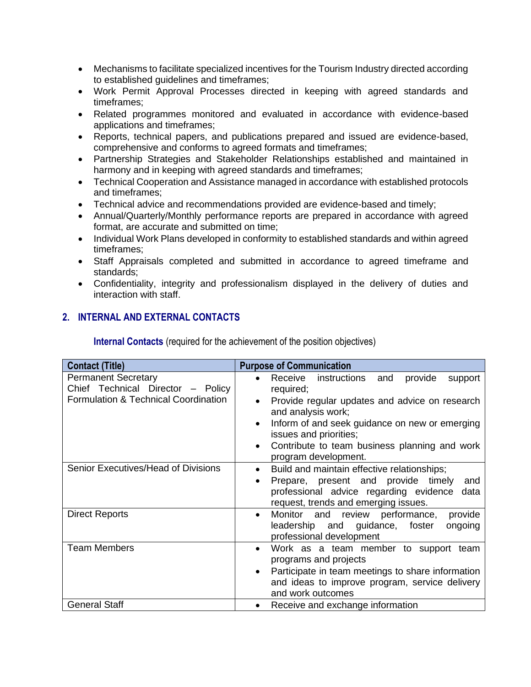- Mechanisms to facilitate specialized incentives for the Tourism Industry directed according to established guidelines and timeframes;
- Work Permit Approval Processes directed in keeping with agreed standards and timeframes;
- Related programmes monitored and evaluated in accordance with evidence-based applications and timeframes;
- Reports, technical papers, and publications prepared and issued are evidence-based, comprehensive and conforms to agreed formats and timeframes;
- Partnership Strategies and Stakeholder Relationships established and maintained in harmony and in keeping with agreed standards and timeframes;
- Technical Cooperation and Assistance managed in accordance with established protocols and timeframes;
- Technical advice and recommendations provided are evidence-based and timely;
- Annual/Quarterly/Monthly performance reports are prepared in accordance with agreed format, are accurate and submitted on time;
- Individual Work Plans developed in conformity to established standards and within agreed timeframes;
- Staff Appraisals completed and submitted in accordance to agreed timeframe and standards;
- Confidentiality, integrity and professionalism displayed in the delivery of duties and interaction with staff.

# **2. INTERNAL AND EXTERNAL CONTACTS**

**Internal Contacts** (required for the achievement of the position objectives)

| <b>Contact (Title)</b>                                                                                  | <b>Purpose of Communication</b>                                                                                                                                                                                                                                                                                                              |
|---------------------------------------------------------------------------------------------------------|----------------------------------------------------------------------------------------------------------------------------------------------------------------------------------------------------------------------------------------------------------------------------------------------------------------------------------------------|
| <b>Permanent Secretary</b><br>Chief Technical Director - Policy<br>Formulation & Technical Coordination | Receive instructions and<br>provide<br>support<br>$\bullet$<br>required;<br>Provide regular updates and advice on research<br>$\bullet$<br>and analysis work;<br>Inform of and seek guidance on new or emerging<br>$\bullet$<br>issues and priorities;<br>Contribute to team business planning and work<br>$\bullet$<br>program development. |
| Senior Executives/Head of Divisions                                                                     | Build and maintain effective relationships;<br>$\bullet$<br>Prepare, present and provide timely<br>and<br>$\bullet$<br>professional advice regarding evidence data<br>request, trends and emerging issues.                                                                                                                                   |
| <b>Direct Reports</b>                                                                                   | Monitor and review performance,<br>provide<br>$\bullet$<br>leadership and guidance, foster<br>ongoing<br>professional development                                                                                                                                                                                                            |
| <b>Team Members</b>                                                                                     | Work as a team member to support team<br>$\bullet$<br>programs and projects<br>Participate in team meetings to share information<br>$\bullet$<br>and ideas to improve program, service delivery<br>and work outcomes                                                                                                                         |
| <b>General Staff</b>                                                                                    | Receive and exchange information                                                                                                                                                                                                                                                                                                             |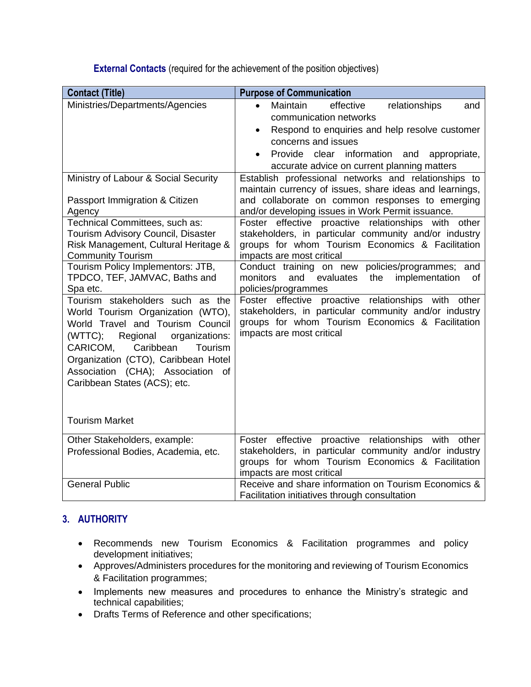**External Contacts** (required for the achievement of the position objectives)

| <b>Contact (Title)</b>                                                                                                                                                                                                                                                                                                                                                                                                                                                                                                                                                                                                  | <b>Purpose of Communication</b>                                                                                                                                                                                                                                                                                                                                                                                                                                                                                                                                                                                                                                                                                                                                                                                                                                                                                                                                                                                                                      |
|-------------------------------------------------------------------------------------------------------------------------------------------------------------------------------------------------------------------------------------------------------------------------------------------------------------------------------------------------------------------------------------------------------------------------------------------------------------------------------------------------------------------------------------------------------------------------------------------------------------------------|------------------------------------------------------------------------------------------------------------------------------------------------------------------------------------------------------------------------------------------------------------------------------------------------------------------------------------------------------------------------------------------------------------------------------------------------------------------------------------------------------------------------------------------------------------------------------------------------------------------------------------------------------------------------------------------------------------------------------------------------------------------------------------------------------------------------------------------------------------------------------------------------------------------------------------------------------------------------------------------------------------------------------------------------------|
| Ministries/Departments/Agencies<br>Ministry of Labour & Social Security<br>Passport Immigration & Citizen<br>Agency<br>Technical Committees, such as:<br>Tourism Advisory Council, Disaster<br>Risk Management, Cultural Heritage &<br><b>Community Tourism</b><br>Tourism Policy Implementors: JTB,<br>TPDCO, TEF, JAMVAC, Baths and<br>Spa etc.<br>Tourism stakeholders such as the<br>World Tourism Organization (WTO),<br>World Travel and Tourism Council<br>Regional<br>(WTTC);<br>organizations:<br>CARICOM,<br>Caribbean<br>Tourism<br>Organization (CTO), Caribbean Hotel<br>Association (CHA); Association of | Maintain<br>effective<br>relationships<br>and<br>communication networks<br>Respond to enquiries and help resolve customer<br>$\bullet$<br>concerns and issues<br>Provide clear information and<br>appropriate,<br>$\bullet$<br>accurate advice on current planning matters<br>Establish professional networks and relationships to<br>maintain currency of issues, share ideas and learnings,<br>and collaborate on common responses to emerging<br>and/or developing issues in Work Permit issuance.<br>Foster effective proactive relationships with other<br>stakeholders, in particular community and/or industry<br>groups for whom Tourism Economics & Facilitation<br>impacts are most critical<br>policies/programmes; and<br>Conduct training on new<br>monitors<br>and<br>evaluates<br>the<br>implementation<br>0f<br>policies/programmes<br>Foster effective proactive relationships with other<br>stakeholders, in particular community and/or industry<br>groups for whom Tourism Economics & Facilitation<br>impacts are most critical |
| Caribbean States (ACS); etc.<br><b>Tourism Market</b>                                                                                                                                                                                                                                                                                                                                                                                                                                                                                                                                                                   |                                                                                                                                                                                                                                                                                                                                                                                                                                                                                                                                                                                                                                                                                                                                                                                                                                                                                                                                                                                                                                                      |
| Other Stakeholders, example:                                                                                                                                                                                                                                                                                                                                                                                                                                                                                                                                                                                            | Foster effective proactive relationships with other                                                                                                                                                                                                                                                                                                                                                                                                                                                                                                                                                                                                                                                                                                                                                                                                                                                                                                                                                                                                  |
| Professional Bodies, Academia, etc.                                                                                                                                                                                                                                                                                                                                                                                                                                                                                                                                                                                     | stakeholders, in particular community and/or industry<br>groups for whom Tourism Economics & Facilitation<br>impacts are most critical                                                                                                                                                                                                                                                                                                                                                                                                                                                                                                                                                                                                                                                                                                                                                                                                                                                                                                               |
| <b>General Public</b>                                                                                                                                                                                                                                                                                                                                                                                                                                                                                                                                                                                                   | Receive and share information on Tourism Economics &<br>Facilitation initiatives through consultation                                                                                                                                                                                                                                                                                                                                                                                                                                                                                                                                                                                                                                                                                                                                                                                                                                                                                                                                                |

# **3. AUTHORITY**

- Recommends new Tourism Economics & Facilitation programmes and policy development initiatives;
- Approves/Administers procedures for the monitoring and reviewing of Tourism Economics & Facilitation programmes;
- Implements new measures and procedures to enhance the Ministry's strategic and technical capabilities;
- Drafts Terms of Reference and other specifications;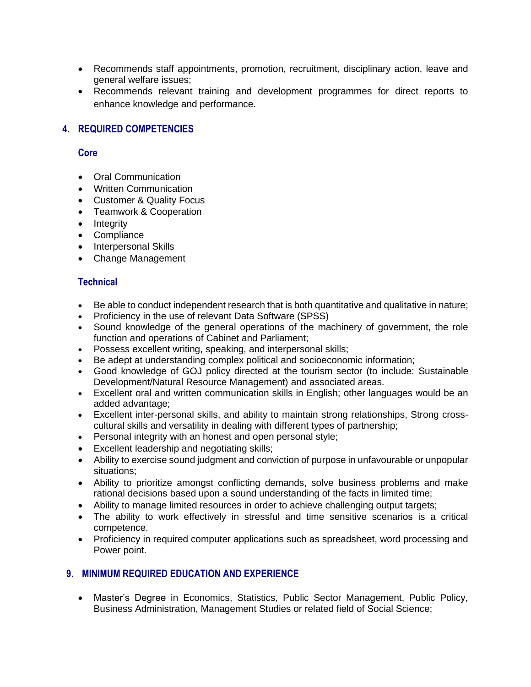- Recommends staff appointments, promotion, recruitment, disciplinary action, leave and general welfare issues;
- Recommends relevant training and development programmes for direct reports to enhance knowledge and performance.

# **4. REQUIRED COMPETENCIES**

#### **Core**

- Oral Communication
- Written Communication
- Customer & Quality Focus
- Teamwork & Cooperation
- Integrity
- Compliance
- Interpersonal Skills
- Change Management

# **Technical**

- Be able to conduct independent research that is both quantitative and qualitative in nature;
- Proficiency in the use of relevant Data Software (SPSS)
- Sound knowledge of the general operations of the machinery of government, the role function and operations of Cabinet and Parliament;
- Possess excellent writing, speaking, and interpersonal skills;
- Be adept at understanding complex political and socioeconomic information;
- Good knowledge of GOJ policy directed at the tourism sector (to include: Sustainable Development/Natural Resource Management) and associated areas.
- Excellent oral and written communication skills in English; other languages would be an added advantage;
- Excellent inter-personal skills, and ability to maintain strong relationships, Strong crosscultural skills and versatility in dealing with different types of partnership;
- Personal integrity with an honest and open personal style;
- Excellent leadership and negotiating skills;
- Ability to exercise sound judgment and conviction of purpose in unfavourable or unpopular situations;
- Ability to prioritize amongst conflicting demands, solve business problems and make rational decisions based upon a sound understanding of the facts in limited time;
- Ability to manage limited resources in order to achieve challenging output targets;
- The ability to work effectively in stressful and time sensitive scenarios is a critical competence.
- Proficiency in required computer applications such as spreadsheet, word processing and Power point.

# **9. MINIMUM REQUIRED EDUCATION AND EXPERIENCE**

• Master's Degree in Economics, Statistics, Public Sector Management, Public Policy, Business Administration, Management Studies or related field of Social Science;